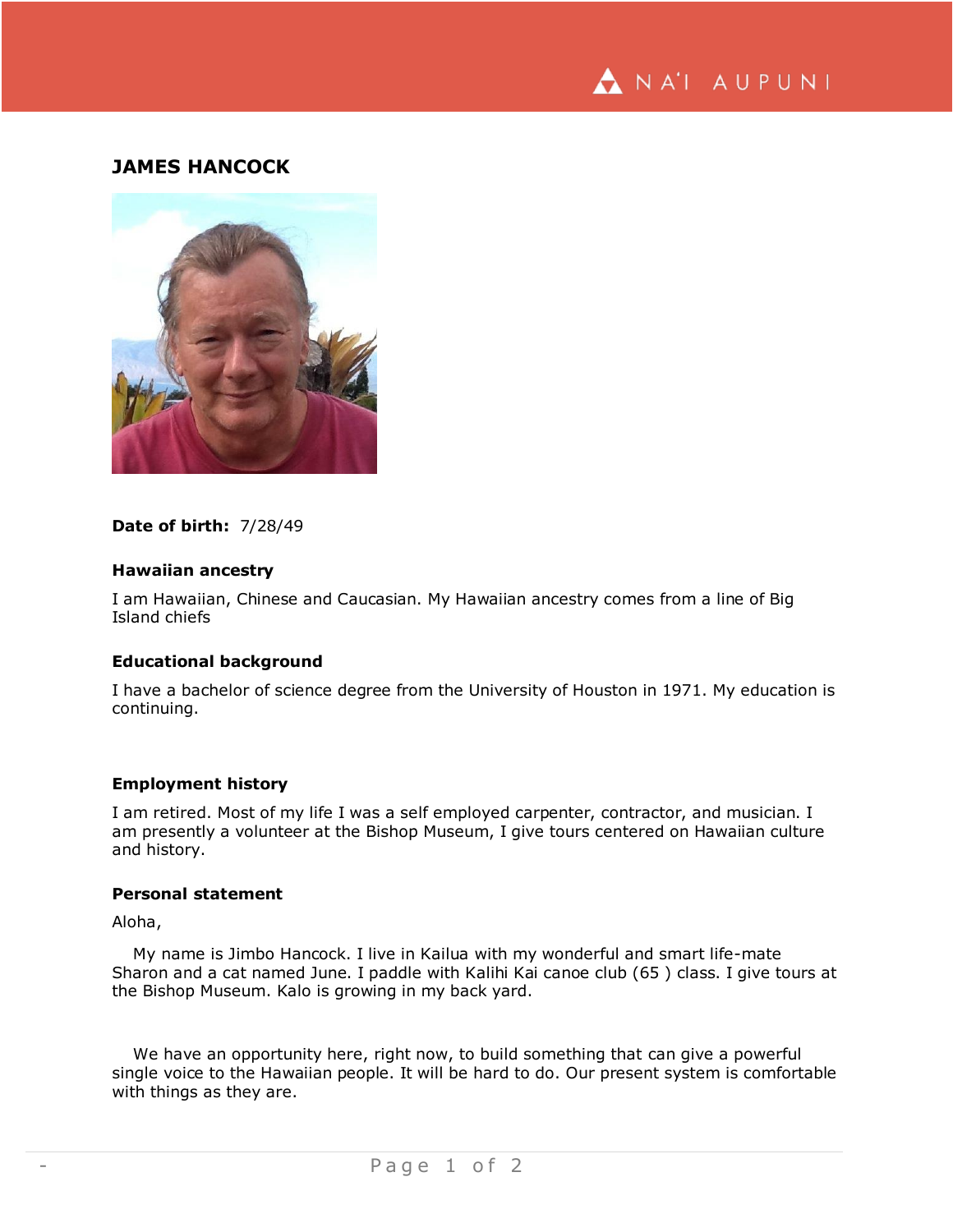

# **JAMES HANCOCK**



#### **Date of birth:** 7/28/49

## **Hawaiian ancestry**

I am Hawaiian, Chinese and Caucasian. My Hawaiian ancestry comes from a line of Big Island chiefs

## **Educational background**

I have a bachelor of science degree from the University of Houston in 1971. My education is continuing.

#### **Employment history**

I am retired. Most of my life I was a self employed carpenter, contractor, and musician. I am presently a volunteer at the Bishop Museum, I give tours centered on Hawaiian culture and history.

## **Personal statement**

Aloha,

 My name is Jimbo Hancock. I live in Kailua with my wonderful and smart life-mate Sharon and a cat named June. I paddle with Kalihi Kai canoe club (65 ) class. I give tours at the Bishop Museum. Kalo is growing in my back yard.

 We have an opportunity here, right now, to build something that can give a powerful single voice to the Hawaiian people. It will be hard to do. Our present system is comfortable with things as they are.